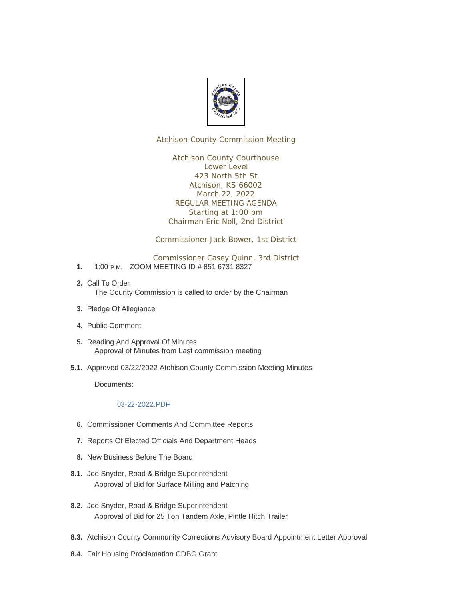

Atchison County Commission Meeting

Atchison County Courthouse Lower Level 423 North 5th St Atchison, KS 66002 March 22, 2022 REGULAR MEETING AGENDA Starting at 1:00 pm Chairman Eric Noll, 2nd District

Commissioner Jack Bower, 1st District

Commissioner Casey Quinn, 3rd District

- 1. 1:00 P.M. ZOOM MEETING ID # 851 6731 8327
- 2. Call To Order The County Commission is called to order by the Chairman
- 3. Pledge Of Allegiance
- Public Comment **4.**
- 5. Reading And Approval Of Minutes Approval of Minutes from Last commission meeting
- 5.1. Approved 03/22/2022 Atchison County Commission Meeting Minutes

Documents:

#### 03-22-2022.PDF

- **6.** Commissioner Comments And Committee Reports
- 7. Reports Of Elected Officials And Department Heads
- 8. New Business Before The Board
- 8.1. Joe Snyder, Road & Bridge Superintendent Approval of Bid for Surface Milling and Patching
- 8.2. Joe Snyder, Road & Bridge Superintendent Approval of Bid for 25 Ton Tandem Axle, Pintle Hitch Trailer
- 8.3. Atchison County Community Corrections Advisory Board Appointment Letter Approval
- 8.4. Fair Housing Proclamation CDBG Grant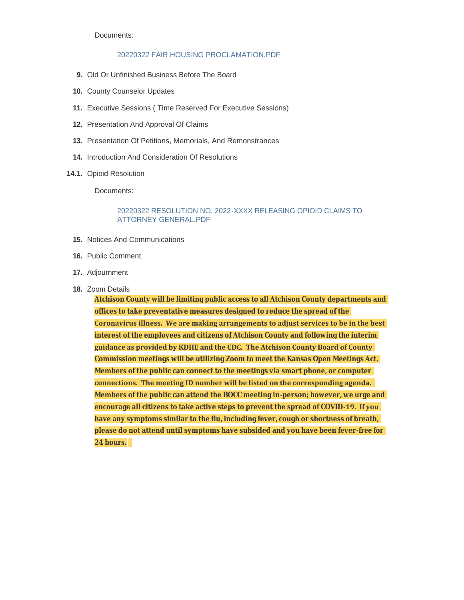Documents:

#### 20220322 FAIR HOUSING PROCLAMATION.PDF

- 9. Old Or Unfinished Business Before The Board
- 10. County Counselor Updates
- Executive Sessions ( Time Reserved For Executive Sessions) **11.**
- 12. Presentation And Approval Of Claims
- 13. Presentation Of Petitions, Memorials, And Remonstrances
- 14. Introduction And Consideration Of Resolutions
- 14.1. Opioid Resolution

Documents:

#### 20220322 RESOLUTION NO. 2022-XXXX RELEASING OPIOID CLAIMS TO ATTORNEY GENERAL.PDF

- 15. Notices And Communications
- 16. Public Comment
- 17. Adjournment
- 18. Zoom Details

**Atchison County will be limiting public access to all Atchison County departments and offices to take preventative measures designed to reduce the spread of the Coronavirus illness. We are making arrangements to adjust services to be in the best interest of the employees and citizens of Atchison County and following the interim guidance as provided by KDHE and the CDC. The Atchison County Board of County Commission meetings will be utilizing Zoom to meet the Kansas Open Meetings Act. Members of the public can connect to the meetings via smart phone, or computer connections. The meeting ID number will be listed on the corresponding agenda. Members of the public can attend the BOCC meeting in-person; however, we urge and encourage all citizens to take active steps to prevent the spread of COVID-19. If you have any symptoms similar to the flu, including fever, cough or shortness of breath, please do not attend until symptoms have subsided and you have been fever-free for 24 hours.**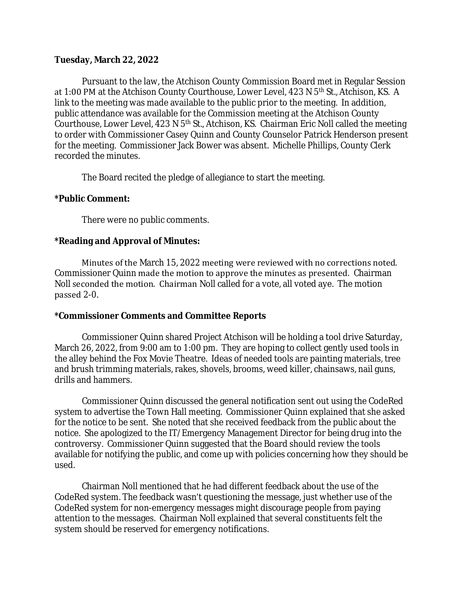#### **Tuesday, March 22, 2022**

Pursuant to the law, the Atchison County Commission Board met in Regular Session at 1:00 PM at the Atchison County Courthouse, Lower Level, 423 N 5<sup>th</sup> St., Atchison, KS. A link to the meeting was made available to the public prior to the meeting. In addition, public attendance was available for the Commission meeting at the Atchison County Courthouse, Lower Level, 423 N 5<sup>th</sup> St., Atchison, KS. Chairman Eric Noll called the meeting to order with Commissioner Casey Quinn and County Counselor Patrick Henderson present for the meeting. Commissioner Jack Bower was absent. Michelle Phillips, County Clerk recorded the minutes.

The Board recited the pledge of allegiance to start the meeting.

### **\*Public Comment:**

There were no public comments.

## **\*Reading and Approval of Minutes:**

Minutes of the March 15, 2022 meeting were reviewed with no corrections noted. Commissioner Quinn made the motion to approve the minutes as presented. Chairman Noll seconded the motion. Chairman Noll called for a vote, all voted aye. The motion passed 2-0.

#### **\*Commissioner Comments and Committee Reports**

Commissioner Quinn shared Project Atchison will be holding a tool drive Saturday, March 26, 2022, from 9:00 am to 1:00 pm. They are hoping to collect gently used tools in the alley behind the Fox Movie Theatre. Ideas of needed tools are painting materials, tree and brush trimming materials, rakes, shovels, brooms, weed killer, chainsaws, nail guns, drills and hammers.

Commissioner Quinn discussed the general notification sent out using the CodeRed system to advertise the Town Hall meeting. Commissioner Quinn explained that she asked for the notice to be sent. She noted that she received feedback from the public about the notice. She apologized to the IT/Emergency Management Director for being drug into the controversy. Commissioner Quinn suggested that the Board should review the tools available for notifying the public, and come up with policies concerning how they should be used.

Chairman Noll mentioned that he had different feedback about the use of the CodeRed system. The feedback wasn't questioning the message, just whether use of the CodeRed system for non-emergency messages might discourage people from paying attention to the messages. Chairman Noll explained that several constituents felt the system should be reserved for emergency notifications.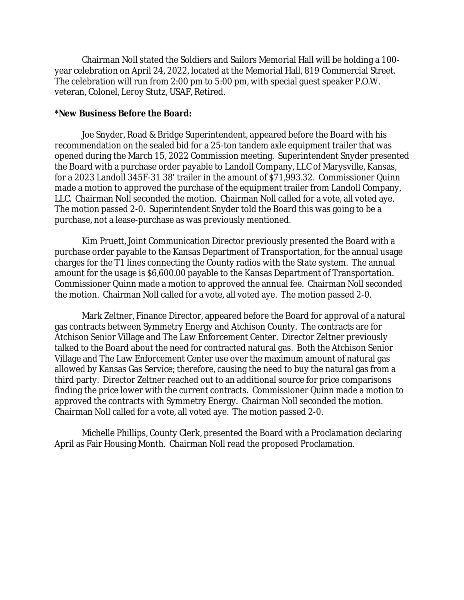Chairman Noll stated the Soldiers and Sailors Memorial Hall will be holding a 100 year celebration on April 24, 2022, located at the Memorial Hall, 819 Commercial Street. The celebration will run from 2:00 pm to 5:00 pm, with special guest speaker P.O.W. veteran, Colonel, Leroy Stutz, USAF, Retired.

#### **\*New Business Before the Board:**

Joe Snyder, Road & Bridge Superintendent, appeared before the Board with his recommendation on the sealed bid for a 25-ton tandem axle equipment trailer that was opened during the March 15, 2022 Commission meeting. Superintendent Snyder presented the Board with a purchase order payable to Landoll Company, LLC of Marysville, Kansas, for a 2023 Landoll 345F-31 38' trailer in the amount of \$71,993.32. Commissioner Quinn made a motion to approved the purchase of the equipment trailer from Landoll Company, LLC. Chairman Noll seconded the motion. Chairman Noll called for a vote, all voted aye. The motion passed 2-0. Superintendent Snyder told the Board this was going to be a purchase, not a lease-purchase as was previously mentioned.

Kim Pruett, Joint Communication Director previously presented the Board with a purchase order payable to the Kansas Department of Transportation, for the annual usage charges for the T1 lines connecting the County radios with the State system. The annual amount for the usage is \$6,600.00 payable to the Kansas Department of Transportation. Commissioner Quinn made a motion to approved the annual fee. Chairman Noll seconded the motion. Chairman Noll called for a vote, all voted aye. The motion passed 2-0.

Mark Zeltner, Finance Director, appeared before the Board for approval of a natural gas contracts between Symmetry Energy and Atchison County. The contracts are for Atchison Senior Village and The Law Enforcement Center. Director Zeltner previously talked to the Board about the need for contracted natural gas. Both the Atchison Senior Village and The Law Enforcement Center use over the maximum amount of natural gas allowed by Kansas Gas Service; therefore, causing the need to buy the natural gas from a third party. Director Zeltner reached out to an additional source for price comparisons finding the price lower with the current contracts. Commissioner Quinn made a motion to approved the contracts with Symmetry Energy. Chairman Noll seconded the motion. Chairman Noll called for a vote, all voted aye. The motion passed 2-0.

Michelle Phillips, County Clerk, presented the Board with a Proclamation declaring April as Fair Housing Month. Chairman Noll read the proposed Proclamation.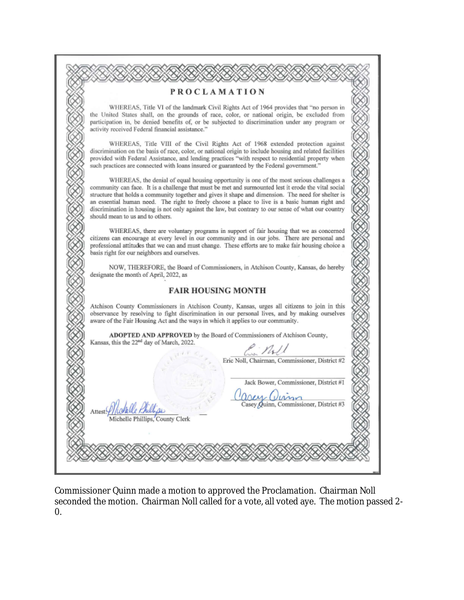|                                  | <b>PROCLAMATION</b>                                                                                                                                                                                                                                                                                                                                                                                                                                                                                               |
|----------------------------------|-------------------------------------------------------------------------------------------------------------------------------------------------------------------------------------------------------------------------------------------------------------------------------------------------------------------------------------------------------------------------------------------------------------------------------------------------------------------------------------------------------------------|
|                                  | WHEREAS, Title VI of the landmark Civil Rights Act of 1964 provides that "no person in<br>the United States shall, on the grounds of race, color, or national origin, be excluded from<br>participation in, be denied benefits of, or be subjected to discrimination under any program or<br>activity received Federal financial assistance."                                                                                                                                                                     |
|                                  | WHEREAS, Title VIII of the Civil Rights Act of 1968 extended protection against<br>discrimination on the basis of race, color, or national origin to include housing and related facilities<br>provided with Federal Assistance, and lending practices "with respect to residential property when<br>such practices are connected with loans insured or guaranteed by the Federal government."                                                                                                                    |
| should mean to us and to others. | WHEREAS, the denial of equal housing opportunity is one of the most serious challenges a<br>community can face. It is a challenge that must be met and surmounted lest it erode the vital social<br>structure that holds a community together and gives it shape and dimension. The need for shelter is<br>an essential human need. The right to freely choose a place to live is a basic human right and<br>discrimination in housing is not only against the law, but contrary to our sense of what our country |
|                                  | WHEREAS, there are voluntary programs in support of fair housing that we as concerned<br>citizens can encourage at every level in our community and in our jobs. There are personal and<br>professional attitudes that we can and must change. These efforts are to make fair housing choice a<br>basis right for our neighbors and ourselves.                                                                                                                                                                    |
|                                  | NOW, THEREFORE, the Board of Commissioners, in Atchison County, Kansas, do hereby<br>designate the month of April, 2022, as                                                                                                                                                                                                                                                                                                                                                                                       |
|                                  | <b>FAIR HOUSING MONTH</b>                                                                                                                                                                                                                                                                                                                                                                                                                                                                                         |
|                                  | Atchison County Commissioners in Atchison County, Kansas, urges all citizens to join in this<br>observance by resolving to fight discrimination in our personal lives, and by making ourselves<br>aware of the Fair Housing Act and the ways in which it applies to our community.                                                                                                                                                                                                                                |
|                                  | ADOPTED AND APPROVED by the Board of Commissioners of Atchison County,<br>Kansas, this the 22 <sup>nd</sup> day of March, 2022.                                                                                                                                                                                                                                                                                                                                                                                   |
|                                  | M<br>Eric Noll, Chairman, Commissioner, District #2                                                                                                                                                                                                                                                                                                                                                                                                                                                               |
|                                  | Jack Bower, Commissioner, District #1                                                                                                                                                                                                                                                                                                                                                                                                                                                                             |
| Attest:///LG                     | and Ulman<br>Casey Quinn, Commissioner, District #3<br>Michelle Phillips, County Clerk                                                                                                                                                                                                                                                                                                                                                                                                                            |
|                                  |                                                                                                                                                                                                                                                                                                                                                                                                                                                                                                                   |

Commissioner Quinn made a motion to approved the Proclamation. Chairman Noll seconded the motion. Chairman Noll called for a vote, all voted aye. The motion passed 2- 0.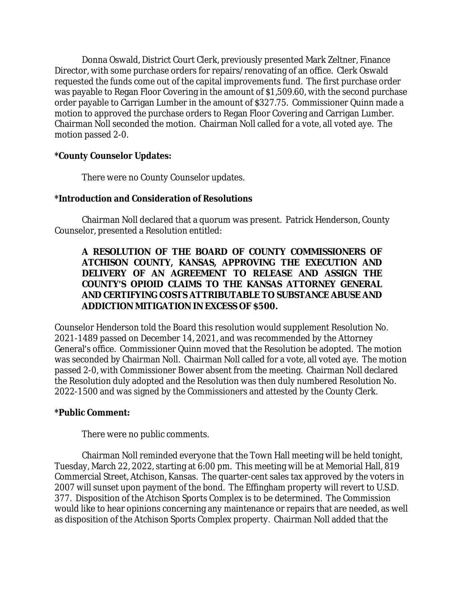Donna Oswald, District Court Clerk, previously presented Mark Zeltner, Finance Director, with some purchase orders for repairs/renovating of an office. Clerk Oswald requested the funds come out of the capital improvements fund. The first purchase order was payable to Regan Floor Covering in the amount of \$1,509.60, with the second purchase order payable to Carrigan Lumber in the amount of \$327.75. Commissioner Quinn made a motion to approved the purchase orders to Regan Floor Covering and Carrigan Lumber. Chairman Noll seconded the motion. Chairman Noll called for a vote, all voted aye. The motion passed 2-0.

## **\*County Counselor Updates:**

There were no County Counselor updates.

# **\*Introduction and Consideration of Resolutions**

Chairman Noll declared that a quorum was present. Patrick Henderson, County Counselor, presented a Resolution entitled:

## **A RESOLUTION OF THE BOARD OF COUNTY COMMISSIONERS OF ATCHISON COUNTY, KANSAS, APPROVING THE EXECUTION AND DELIVERY OF AN AGREEMENT TO RELEASE AND ASSIGN THE COUNTY'S OPIOID CLAIMS TO THE KANSAS ATTORNEY GENERAL AND CERTIFYING COSTS ATTRIBUTABLE TO SUBSTANCE ABUSE AND ADDICTION MITIGATION IN EXCESS OF \$500.**

Counselor Henderson told the Board this resolution would supplement Resolution No. 2021-1489 passed on December 14, 2021, and was recommended by the Attorney General's office. Commissioner Quinn moved that the Resolution be adopted. The motion was seconded by Chairman Noll. Chairman Noll called for a vote, all voted aye. The motion passed 2-0, with Commissioner Bower absent from the meeting. Chairman Noll declared the Resolution duly adopted and the Resolution was then duly numbered Resolution No. 2022-1500 and was signed by the Commissioners and attested by the County Clerk.

# **\*Public Comment:**

There were no public comments.

Chairman Noll reminded everyone that the Town Hall meeting will be held tonight, Tuesday, March 22, 2022, starting at 6:00 pm. This meeting will be at Memorial Hall, 819 Commercial Street, Atchison, Kansas. The quarter-cent sales tax approved by the voters in 2007 will sunset upon payment of the bond. The Effingham property will revert to U.S.D. 377. Disposition of the Atchison Sports Complex is to be determined. The Commission would like to hear opinions concerning any maintenance or repairs that are needed, as well as disposition of the Atchison Sports Complex property. Chairman Noll added that the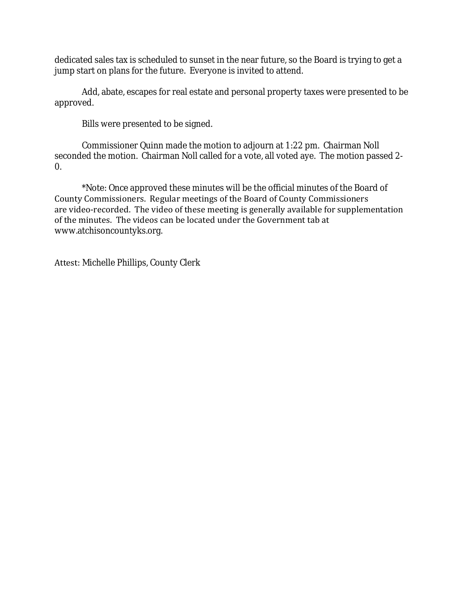dedicated sales tax is scheduled to sunset in the near future, so the Board is trying to get a jump start on plans for the future. Everyone is invited to attend.

Add, abate, escapes for real estate and personal property taxes were presented to be approved.

Bills were presented to be signed.

Commissioner Quinn made the motion to adjourn at 1:22 pm. Chairman Noll seconded the motion. Chairman Noll called for a vote, all voted aye. The motion passed 2- 0.

\*Note: Once approved these minutes will be the official minutes of the Board of County Commissioners. Regular meetings of the Board of County Commissioners are video-recorded. The video of these meeting is generally available for supplementation of the minutes. The videos can be located under the Government tab at www.atchisoncountyks.org.

Attest: Michelle Phillips, County Clerk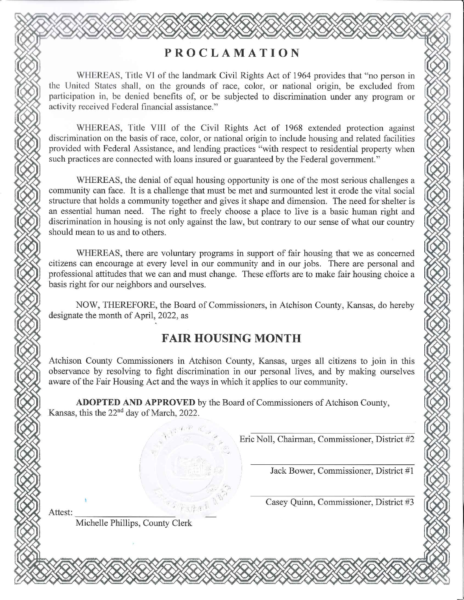# **PROCLAMATION**

WHEREAS, Title VI of the landmark Civil Rights Act of 1964 provides that "no person in the United States shall, on the grounds of race, color, or national origin, be excluded from participation in, be denied benefits of, or be subjected to discrimination under any program or activity received Federal financial assistance."

WHEREAS, Title VIII of the Civil Rights Act of 1968 extended protection against discrimination on the basis of race, color, or national origin to include housing and related facilities provided with Federal Assistance, and lending practices "with respect to residential property when such practices are connected with loans insured or guaranteed by the Federal government."

WHEREAS, the denial of equal housing opportunity is one of the most serious challenges a community can face. It is a challenge that must be met and surmounted lest it erode the vital social structure that holds a community together and gives it shape and dimension. The need for shelter is an essential human need. The right to freely choose a place to live is a basic human right and discrimination in housing is not only against the law, but contrary to our sense of what our country should mean to us and to others.

WHEREAS, there are voluntary programs in support of fair housing that we as concerned citizens can encourage at every level in our community and in our jobs. There are personal and professional attitudes that we can and must change. These efforts are to make fair housing choice a basis right for our neighbors and ourselves.

NOW, THEREFORE, the Board of Commissioners, in Atchison County, Kansas, do hereby designate the month of April, 2022, as

# **FAIR HOUSING MONTH**

Atchison County Commissioners in Atchison County, Kansas, urges all citizens to join in this observance by resolving to fight discrimination in our personal lives, and by making ourselves aware of the Fair Housing Act and the ways in which it applies to our community.

ADOPTED AND APPROVED by the Board of Commissioners of Atchison County, Kansas, this the 22<sup>nd</sup> day of March, 2022.

Eric Noll, Chairman, Commissioner, District #2

Jack Bower, Commissioner, District #1

Casey Quinn, Commissioner, District #3

Attest:

Michelle Phillips, County Clerk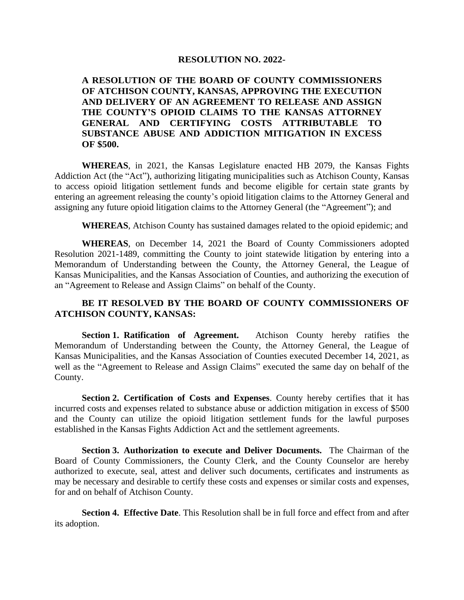#### **RESOLUTION NO. 2022-**

**A RESOLUTION OF THE BOARD OF COUNTY COMMISSIONERS OF ATCHISON COUNTY, KANSAS, APPROVING THE EXECUTION AND DELIVERY OF AN AGREEMENT TO RELEASE AND ASSIGN THE COUNTY'S OPIOID CLAIMS TO THE KANSAS ATTORNEY GENERAL AND CERTIFYING COSTS ATTRIBUTABLE TO SUBSTANCE ABUSE AND ADDICTION MITIGATION IN EXCESS OF \$500.**

**WHEREAS**, in 2021, the Kansas Legislature enacted HB 2079, the Kansas Fights Addiction Act (the "Act"), authorizing litigating municipalities such as Atchison County, Kansas to access opioid litigation settlement funds and become eligible for certain state grants by entering an agreement releasing the county's opioid litigation claims to the Attorney General and assigning any future opioid litigation claims to the Attorney General (the "Agreement"); and

**WHEREAS**, Atchison County has sustained damages related to the opioid epidemic; and

**WHEREAS**, on December 14, 2021 the Board of County Commissioners adopted Resolution 2021-1489, committing the County to joint statewide litigation by entering into a Memorandum of Understanding between the County, the Attorney General, the League of Kansas Municipalities, and the Kansas Association of Counties, and authorizing the execution of an "Agreement to Release and Assign Claims" on behalf of the County.

### **BE IT RESOLVED BY THE BOARD OF COUNTY COMMISSIONERS OF ATCHISON COUNTY, KANSAS:**

**Section 1. Ratification of Agreement.** Atchison County hereby ratifies the Memorandum of Understanding between the County, the Attorney General, the League of Kansas Municipalities, and the Kansas Association of Counties executed December 14, 2021, as well as the "Agreement to Release and Assign Claims" executed the same day on behalf of the County.

**Section 2. Certification of Costs and Expenses**. County hereby certifies that it has incurred costs and expenses related to substance abuse or addiction mitigation in excess of \$500 and the County can utilize the opioid litigation settlement funds for the lawful purposes established in the Kansas Fights Addiction Act and the settlement agreements.

**Section 3. Authorization to execute and Deliver Documents.** The Chairman of the Board of County Commissioners, the County Clerk, and the County Counselor are hereby authorized to execute, seal, attest and deliver such documents, certificates and instruments as may be necessary and desirable to certify these costs and expenses or similar costs and expenses, for and on behalf of Atchison County.

**Section 4. Effective Date**. This Resolution shall be in full force and effect from and after its adoption.